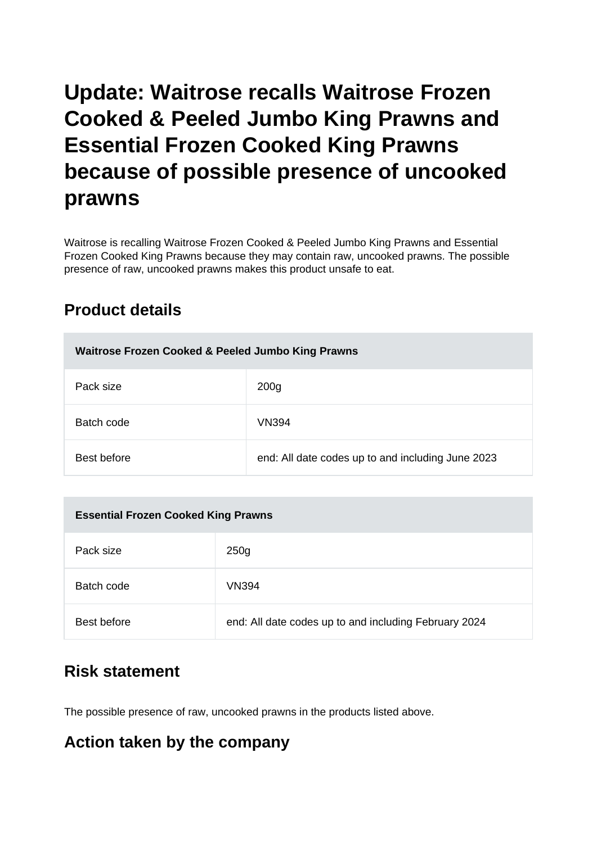# **Update: Waitrose recalls Waitrose Frozen Cooked & Peeled Jumbo King Prawns and Essential Frozen Cooked King Prawns because of possible presence of uncooked prawns**

Waitrose is recalling Waitrose Frozen Cooked & Peeled Jumbo King Prawns and Essential Frozen Cooked King Prawns because they may contain raw, uncooked prawns. The possible presence of raw, uncooked prawns makes this product unsafe to eat.

## **Product details**

| Waitrose Frozen Cooked & Peeled Jumbo King Prawns |                                                   |
|---------------------------------------------------|---------------------------------------------------|
| Pack size                                         | 200 <sub>g</sub>                                  |
| Batch code                                        | <b>VN394</b>                                      |
| Best before                                       | end: All date codes up to and including June 2023 |

| <b>Essential Frozen Cooked King Prawns</b> |                                                       |
|--------------------------------------------|-------------------------------------------------------|
| Pack size                                  | 250 <sub>g</sub>                                      |
| Batch code                                 | VN394                                                 |
| Best before                                | end: All date codes up to and including February 2024 |

## **Risk statement**

The possible presence of raw, uncooked prawns in the products listed above.

## **Action taken by the company**